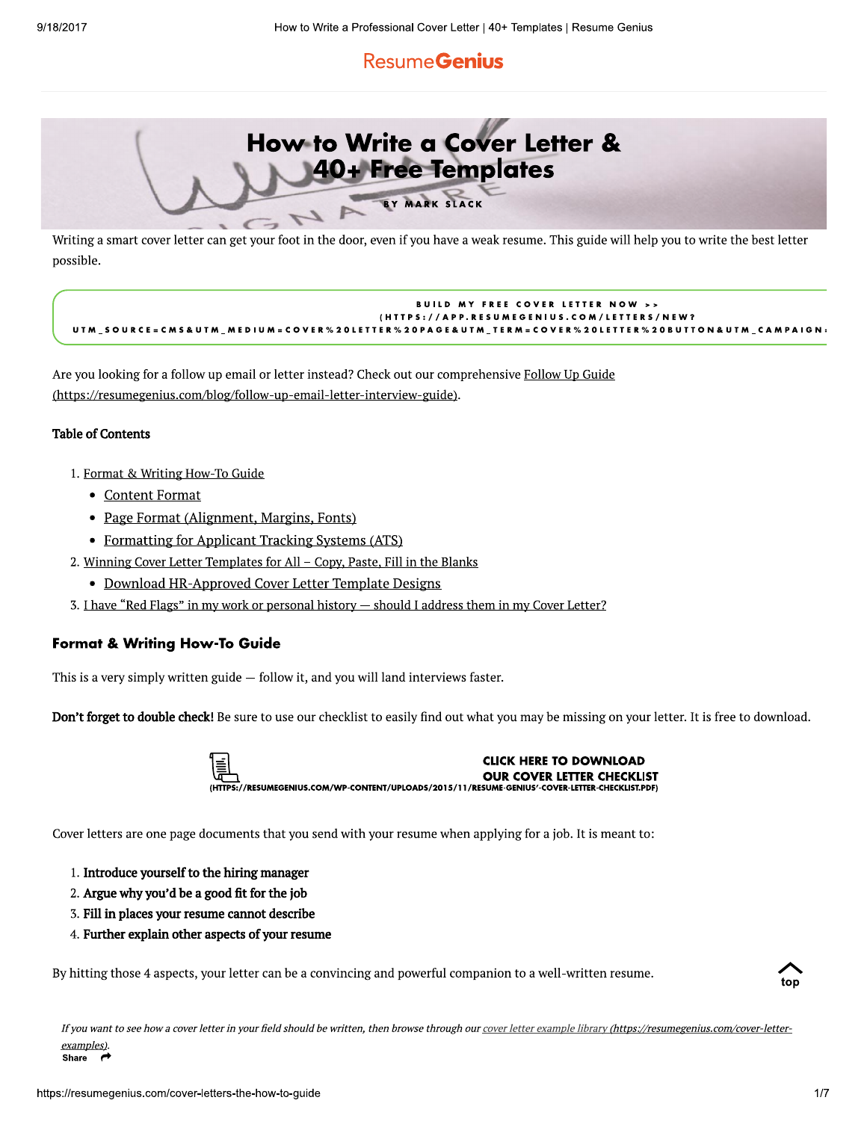# **ResumeGenius**



Writing a smart cover letter can get your foot in the door, even if you have a weak resume. This guide will help you to write the best letter possible.

#### **BUILD MY FREE COVER LETTER NOW >>** /APP.RESUMEGENIUS.COM/LETTERS/NEW? UTM\_SOURCE=CMS&UTM\_MEDIUM=COVER%20LETTER%20PAGE&UTM\_TERM=COVER%20LETTER%20BUTTON&UTM\_CAMPAIGN=

Are you looking for a follow up email or letter instead? Check out our comprehensive Follow Up Guide (https://resumegenius.com/blog/follow-up-email-letter-interview-guide).

## **Table of Contents**

- 1. Format & Writing How-To Guide
	- Content Format
	- Page Format (Alignment, Margins, Fonts)
	- Formatting for Applicant Tracking Systems (ATS)
- 2. Winning Cover Letter Templates for All Copy, Paste, Fill in the Blanks
	- Download HR-Approved Cover Letter Template Designs
- 3. I have "Red Flags" in my work or personal history should I address them in my Cover Letter?

## **Format & Writing How-To Guide**

This is a very simply written guide  $-$  follow it, and you will land interviews faster.

Don't forget to double check! Be sure to use our checklist to easily find out what you may be missing on your letter. It is free to download.



Cover letters are one page documents that you send with your resume when applying for a job. It is meant to:

- 1. Introduce yourself to the hiring manager
- 2. Argue why you'd be a good fit for the job
- 3. Fill in places your resume cannot describe
- 4. Further explain other aspects of your resume

By hitting those 4 aspects, your letter can be a convincing and powerful companion to a well-written resume.



If you want to see how a cover letter in your field should be written, then browse through our cover letter example library (https://resumegenius.com/cover-letterexamples). Share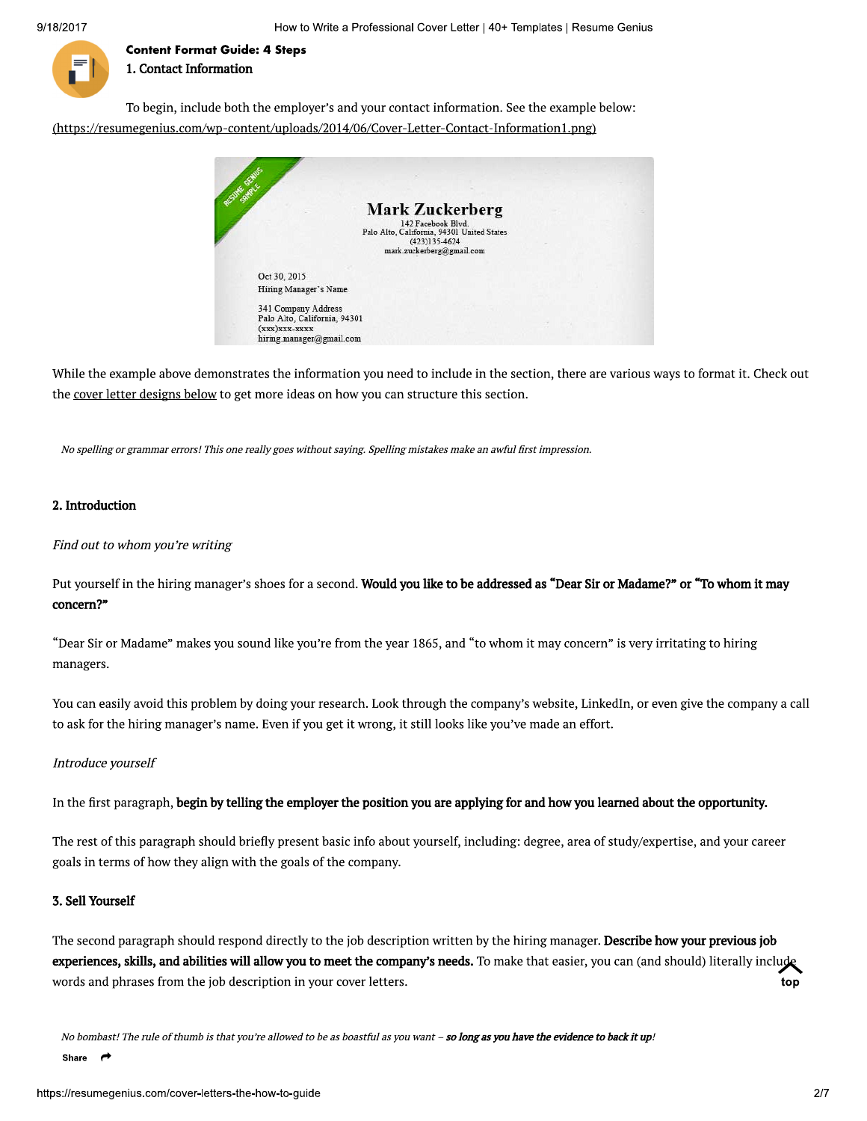to vvrite a Professional Cover Letter | 40+ Templates | Resume Genius



Content Format Guide: 4 Steps 1. Contact Information

To begin, include both the employer's and your contact information. See the example below: (https://resumegenius.com/wp-content/uploads/2014/06/Cover-Letter-Contact-Information1.png)



While the example above demonstrates the information you need to include in the section, there are various ways to format it. Check out While the example above demonstrates the information you need to include in the section, there are various ways to form<br>the <u>cover letter designs below</u> to get more ideas on how you can structure this section.<br>No spelling

No spelling or grammar errors! This one really goes without saying. Sp<br> **2. Introduction**<br>
Find out to whom you're writing<br>
Put yourself in the hiring manager's shoes for a second. **Wo**<br> **concern?"**<br>
"Dear Sir or Madame" m Put yourself in the hiring manager's shoes for a second. Would you like to be addressed as "Dear Sir or Madame?" or "To whom it may

"Dear Sir or Madame" makes you sound like you're from the year 1865, and "to whom it may concern" is very irritating to hiring managers.

You can easily avoid this problem by doing your research. Look through the company's website, LinkedIn, or even give the company a call Dear Sir or Madame makes you sound ike you re irom the year 1865, and to whom it may concern is<br>managers.<br>You can easily avoid this problem by doing your research. Look through the company's website, Linked<br>to ask for the

In the first paragraph, begin by telling the employer the position you are applying for and how you learned about the opportunity.

The rest of this paragraph should briefly present basic info about yourself, including: degree, area of study/expertise, and your career goals in terms of how they align with the goals of the company.

### 3. Sell Yourself

The second paragraph should respond directly to the job description written by the hiring manager. Describe how your previous job experiences, skills, and abilities will allow you to meet the company's needs. To make that easier, you can (and should) literally include The second paragraph should respond directly to the job description written by the hiring manager. **Describe how your previous job**<br>experiences, skills, and abilities will allow you to meet the company's needs. To make th  $\zeta$ τop

No bombast! The rule of thumb is that you're allowed to be as boastful as you want – **so long as you have the evidence to back it up!**<br>Share  $\rightarrow$ 

Share  $\rightarrow$